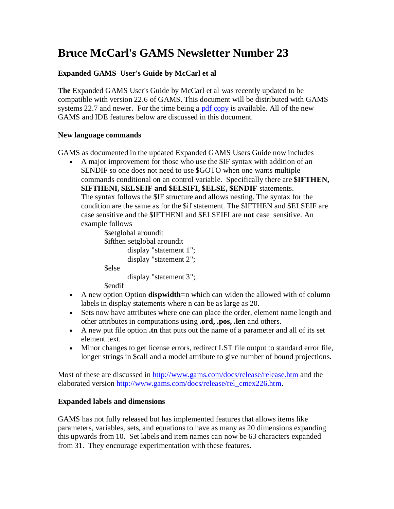# **Bruce McCarl's GAMS Newsletter Number 23**

## **Expanded GAMS User's Guide by McCarl et al**

**The** Expanded GAMS User's Guide by McCarl et al was recently updated to be compatible with version 22.6 of GAMS. This document will be distributed with GAMS systems 22.7 and newer. For the time being a [pdf copy](http://www.gams.com/dd/docs/bigdocs/gams2002/mccarlgamsuserguide.pdf) is available. All of the new GAMS and IDE features below are discussed in this document.

### **New language commands**

GAMS as documented in the updated Expanded GAMS Users Guide now includes

 A major improvement for those who use the \$IF syntax with addition of an \$ENDIF so one does not need to use \$GOTO when one wants multiple commands conditional on an control variable. Specifically there are **\$IFTHEN, \$IFTHENI, \$ELSEIF and \$ELSIFI, \$ELSE, \$ENDIF** statements. The syntax follows the \$IF structure and allows nesting. The syntax for the condition are the same as for the \$if statement. The \$IFTHEN and \$ELSEIF are case sensitive and the \$IFTHENI and \$ELSEIFI are **not** case sensitive. An example follows

```
$setglobal aroundit
$ifthen setglobal aroundit
       display "statement 1";
       display "statement 2";
$else
       display "statement 3";
```
**Sendif** 

- A new option Option **dispwidth**=n which can widen the allowed with of column labels in display statements where n can be as large as 20.
- Sets now have attributes where one can place the order, element name length and other attributes in computations using **.ord, .pos, .len** and others.
- A new put file option **.tn** that puts out the name of a parameter and all of its set element text.
- Minor changes to get license errors, redirect LST file output to standard error file, longer strings in \$call and a model attribute to give number of bound projections.

Most of these are discussed in<http://www.gams.com/docs/release/release.htm> and the elaborated version [http://www.gams.com/docs/release/rel\\_cmex226.htm.](http://www.gams.com/docs/release/rel_cmex226.htm)

### **Expanded labels and dimensions**

GAMS has not fully released but has implemented features that allows items like parameters, variables, sets, and equations to have as many as 20 dimensions expanding this upwards from 10. Set labels and item names can now be 63 characters expanded from 31. They encourage experimentation with these features.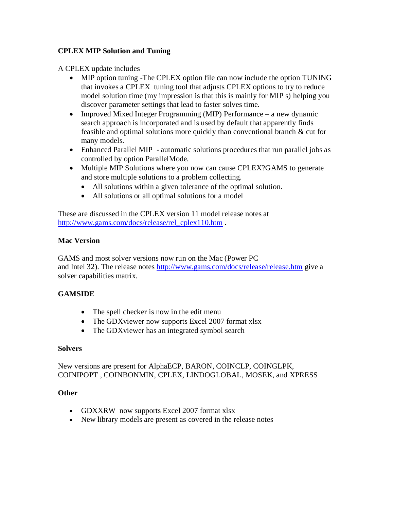### **CPLEX MIP Solution and Tuning**

A CPLEX update includes

- MIP option tuning -The CPLEX option file can now include the option TUNING that invokes a CPLEX tuning tool that adjusts CPLEX options to try to reduce model solution time (my impression is that this is mainly for MIP s) helping you discover parameter settings that lead to faster solves time.
- Improved Mixed Integer Programming (MIP) Performance a new dynamic search approach is incorporated and is used by default that apparently finds feasible and optimal solutions more quickly than conventional branch & cut for many models.
- Enhanced Parallel MIP automatic solutions procedures that run parallel jobs as controlled by option ParallelMode.
- Multiple MIP Solutions where you now can cause CPLEX?GAMS to generate and store multiple solutions to a problem collecting.
	- All solutions within a given tolerance of the optimal solution.
	- All solutions or all optimal solutions for a model

These are discussed in the CPLEX version 11 model release notes at [http://www.gams.com/docs/release/rel\\_cplex110.htm](http://www.gams.com/docs/release/rel_cplex110.htm) .

### **Mac Version**

GAMS and most solver versions now run on the Mac (Power PC and Intel 32). The release notes<http://www.gams.com/docs/release/release.htm> give a solver capabilities matrix.

# **GAMSIDE**

- The spell checker is now in the edit menu
- The GDXviewer now supports Excel 2007 format xlsx
- The GDX viewer has an integrated symbol search

### **Solvers**

New versions are present for AlphaECP, BARON, COINCLP, COINGLPK, COINIPOPT , COINBONMIN, CPLEX, LINDOGLOBAL, MOSEK, and XPRESS

### **Other**

- GDXXRW now supports Excel 2007 format xlsx
- New library models are present as covered in the release notes